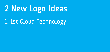## **2 New Logo Ideas**

## 1. 1st Cloud Technology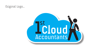### Original Logo...

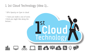### 1. 1st Cloud Technology (Idea 1)...

\* 50% Opacity on Cyan in cloud

\* I have just made a row of icons I think you might like along the bottom....

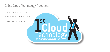### 1. 1st Cloud Technology (Idea 2)...

\* 50% Opacity on Cyan in cloud

- \* Moved the text up to make room...
- \* Added some of the icons...

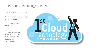### 1. 1st Cloud Technology (Idea 2)...

\* 50% Opacity on Cyan in cloud

\* Cut down on number of icons along the bottom

add a couple 'faint' in the cloud.

\* I could align the icons exact width of each letter (underneath) in the word 'Technology'?

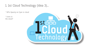### 1. 1st Cloud Technology (Idea 3)...

\* 50% Opacity on Cyan in cloud

 $*$  Icons in the cloud?

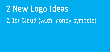# **2 New Logo Ideas**

## 2. 1st Cloud (with money symbols)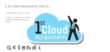### 1. 1st Cloud Accountants (Idea 1)...

\* 50% Opacity on Cyan in cloud

\* I have just made a row of icons I think you might like along the hottom



### **@€\$ggull**£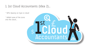### 1. 1st Cloud Accountants (Idea 2)...

\* 50% Opacity on Cyan in cloud

\* Added some of the icons into the cloud....

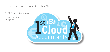### 1. 1st Cloud Accountants (Idea 3)...

\* 50% Opacity on Cyan in cloud

\* Same idea... different arrangement...